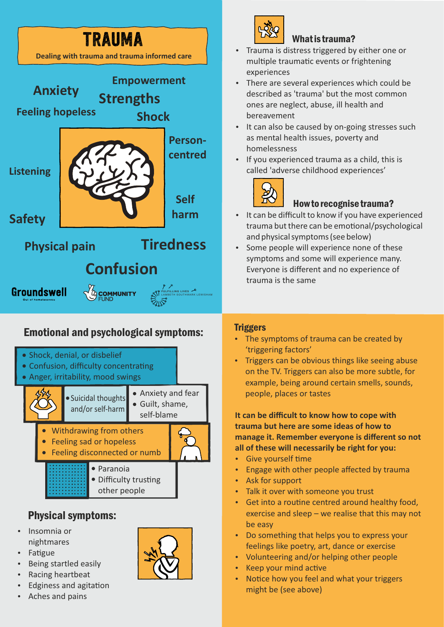

# Emotional and psychological symptoms:



## Physical symptoms:

- Insomnia or nightmares
- Fatigue
- Being startled easily
- Racing heartbeat
- Edginess and agitation
- Aches and pains



# What is trauma?

- Trauma is distress triggered by either one or multiple traumatic events or frightening experiences
- There are several experiences which could be described as 'trauma' but the most common ones are neglect, abuse, ill health and bereavement
- It can also be caused by on-going stresses such as mental health issues, poverty and homelessness
- If you experienced trauma as a child, this is called 'adverse childhood experiences'



## How to recognise trauma?

- It can be difficult to know if you have experienced trauma but there can be emotional/psychological and physical symptoms (see below)
- Some people will experience none of these symptoms and some will experience many. Everyone is different and no experience of trauma is the same

#### **Triggers**

- The symptoms of trauma can be created by 'triggering factors'
- Triggers can be obvious things like seeing abuse on the TV. Triggers can also be more subtle, for example, being around certain smells, sounds, people, places or tastes

**It can be difficult to know how to cope with trauma but here are some ideas of how to manage it. Remember everyone is different so not all of these will necessarily be right for you:**

- Give yourself time
- Engage with other people affected by trauma
- Ask for support
- Talk it over with someone you trust
- Get into a routine centred around healthy food, exercise and sleep – we realise that this may not be easy
- Do something that helps you to express your feelings like poetry, art, dance or exercise
- Volunteering and/or helping other people
- Keep your mind active
- Notice how you feel and what your triggers might be (see above)